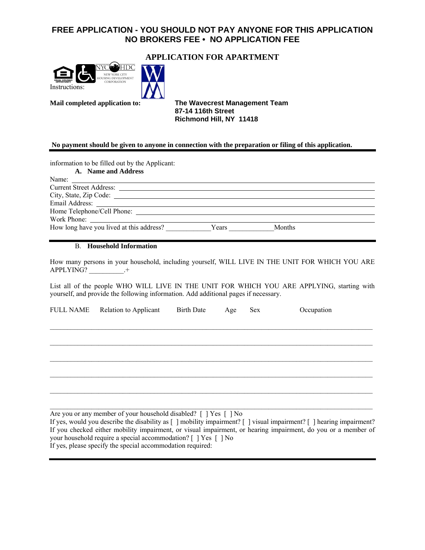## **FREE APPLICATION - YOU SHOULD NOT PAY ANYONE FOR THIS APPLICATION NO BROKERS FEE • NO APPLICATION FEE**



## **APPLICATION FOR APARTMENT**

**Mail completed application to: The Wavecrest Management Team 87-14 116th Street Richmond Hill, NY 11418** 

#### **No payment should be given to anyone in connection with the preparation or filing of this application.**

information to be filled out by the Applicant:

| A. Name and Address                      |        |
|------------------------------------------|--------|
| Name:                                    |        |
|                                          |        |
|                                          |        |
|                                          |        |
|                                          |        |
|                                          |        |
| How long have you lived at this address? | Months |

#### B. **Household Information**

How many persons in your household, including yourself, WILL LIVE IN THE UNIT FOR WHICH YOU ARE APPLYING? +

List all of the people WHO WILL LIVE IN THE UNIT FOR WHICH YOU ARE APPLYING, starting with yourself, and provide the following information. Add additional pages if necessary.

| <b>FULL NAME</b> | <b>Relation to Applicant</b> | <b>Birth Date</b> | Age | Sex | Occupation |
|------------------|------------------------------|-------------------|-----|-----|------------|
|                  |                              |                   |     |     |            |
|                  |                              |                   |     |     |            |
|                  |                              |                   |     |     |            |
|                  |                              |                   |     |     |            |
|                  |                              |                   |     |     |            |
|                  |                              |                   |     |     |            |
|                  |                              |                   |     |     |            |
|                  |                              |                   |     |     |            |
|                  |                              |                   |     |     |            |
|                  |                              |                   |     |     |            |

Are you or any member of your household disabled? [ ] Yes [ ] No If yes, would you describe the disability as [ ] mobility impairment? [ ] visual impairment? [ ] hearing impairment? If you checked either mobility impairment, or visual impairment, or hearing impairment, do you or a member of your household require a special accommodation? [ ] Yes [ ] No If yes, please specify the special accommodation required: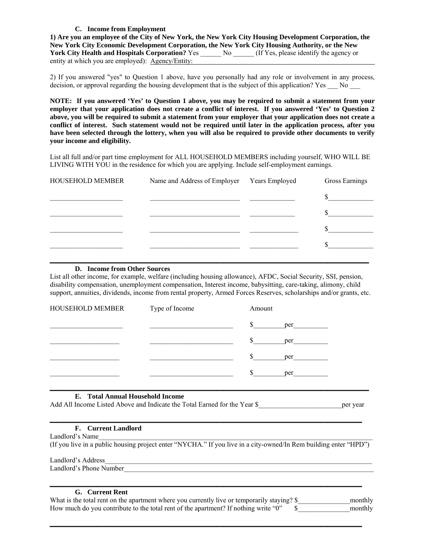### **C. Income from Employment**

**1) Are you an employee of the City of New York, the New York City Housing Development Corporation, the New York City Economic Development Corporation, the New York City Housing Authority, or the New**  York City Health and Hospitals Corporation? Yes \_\_\_\_\_\_ No \_\_\_\_\_ (If Yes, please identify the agency or entity at which you are employed): Agency/Entity:

2) If you answered "yes" to Question 1 above, have you personally had any role or involvement in any process, decision, or approval regarding the housing development that is the subject of this application? Yes No

**NOTE: If you answered 'Yes' to Question 1 above, you may be required to submit a statement from your employer that your application does not create a conflict of interest. If you answered 'Yes' to Question 2 above, you will be required to submit a statement from your employer that your application does not create a conflict of interest. Such statement would not be required until later in the application process, after you have been selected through the lottery, when you will also be required to provide other documents to verify your income and eligibility.** 

List all full and/or part time employment for ALL HOUSEHOLD MEMBERS including yourself, WHO WILL BE LIVING WITH YOU in the residence for which you are applying. Include self-employment earnings.

| <b>HOUSEHOLD MEMBER</b>      | Name and Address of Employer Years Employed | Gross Earnings |
|------------------------------|---------------------------------------------|----------------|
|                              |                                             | $\sim$         |
|                              |                                             |                |
|                              |                                             |                |
|                              |                                             |                |
| D. Income from Other Sources |                                             |                |

List all other income, for example, welfare (including housing allowance), AFDC, Social Security, SSI, pension, disability compensation, unemployment compensation, Interest income, babysitting, care-taking, alimony, child support, annuities, dividends, income from rental property, Armed Forces Reserves, scholarships and/or grants, etc.

| HOUSEHOLD MEMBER                 | Type of Income | Amount       |     |  |
|----------------------------------|----------------|--------------|-----|--|
|                                  |                | \$           | per |  |
|                                  |                | $\mathbb{S}$ | per |  |
|                                  |                | $\mathbb{S}$ | per |  |
|                                  |                | \$           | per |  |
| E. Total Annual Household Income |                |              |     |  |

Add All Income Listed Above and Indicate the Total Earned for the Year \$\_\_\_\_\_\_\_\_\_\_\_\_\_\_\_\_\_\_\_\_\_\_\_\_per year

## **\_\_\_\_\_\_\_\_\_\_\_\_\_\_\_\_\_\_\_\_\_\_\_\_\_\_\_\_\_\_\_\_\_\_\_\_\_\_\_\_\_\_\_\_\_ F. Current Landlord**

Landlord's Name (If you live in a public housing project enter "NYCHA." If you live in a city-owned/In Rem building enter "HPD")

Landlord's Address

Landlord's Phone Number

## **\_\_\_\_\_\_\_\_\_\_\_\_\_\_\_\_\_\_\_\_\_\_\_\_\_\_\_\_\_\_\_\_\_\_\_\_\_\_\_\_\_\_\_\_\_ G. Current Rent**

| What is the total rent on the apartment where you currently live or temporarily staying? \$ | monthly |
|---------------------------------------------------------------------------------------------|---------|
| How much do you contribute to the total rent of the apartment? If nothing write "0"         | monthly |

**\_\_\_\_\_\_\_\_\_\_\_\_\_\_\_\_\_\_\_\_\_\_\_\_\_\_\_\_\_\_\_\_\_\_\_\_\_\_\_\_\_\_\_\_\_**